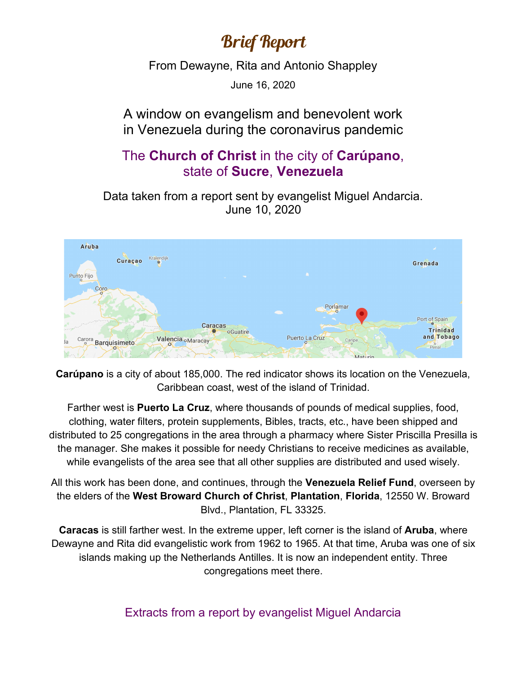## Brief Report

From Dewayne, Rita and Antonio Shappley

June 16, 2020

## A window on evangelism and benevolent work in Venezuela during the coronavirus pandemic

## The **Church of Christ** in the city of **Carúpano**, state of **Sucre**, **Venezuela**

Data taken from a report sent by evangelist Miguel Andarcia. June 10, 2020



**Carúpano** is a city of about 185,000. The red indicator shows its location on the Venezuela, Caribbean coast, west of the island of Trinidad.

Farther west is **Puerto La Cruz**, where thousands of pounds of medical supplies, food, clothing, water filters, protein supplements, Bibles, tracts, etc., have been shipped and distributed to 25 congregations in the area through a pharmacy where Sister Priscilla Presilla is the manager. She makes it possible for needy Christians to receive medicines as available, while evangelists of the area see that all other supplies are distributed and used wisely.

All this work has been done, and continues, through the **Venezuela Relief Fund**, overseen by the elders of the **West Broward Church of Christ**, **Plantation**, **Florida**, 12550 W. Broward Blvd., Plantation, FL 33325.

**Caracas** is still farther west. In the extreme upper, left corner is the island of **Aruba**, where Dewayne and Rita did evangelistic work from 1962 to 1965. At that time, Aruba was one of six islands making up the Netherlands Antilles. It is now an independent entity. Three congregations meet there.

Extracts from a report by evangelist Miguel Andarcia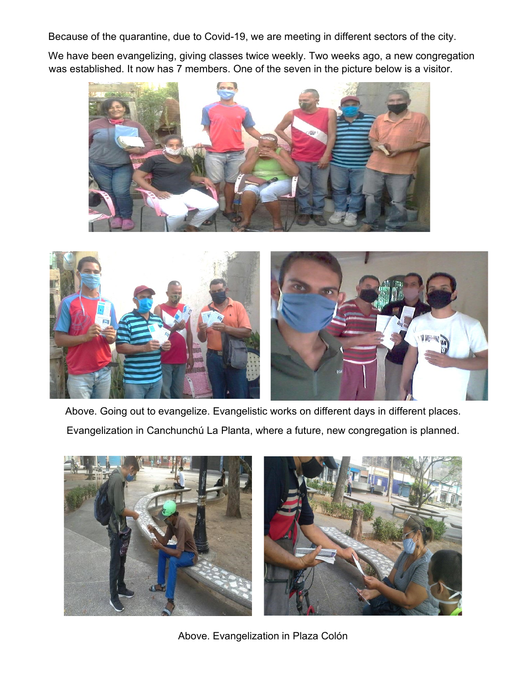Because of the quarantine, due to Covid-19, we are meeting in different sectors of the city.

We have been evangelizing, giving classes twice weekly. Two weeks ago, a new congregation was established. It now has 7 members. One of the seven in the picture below is a visitor.





Above. Going out to evangelize. Evangelistic works on different days in different places. Evangelization in Canchunchú La Planta, where a future, new congregation is planned.



Above. Evangelization in Plaza Colón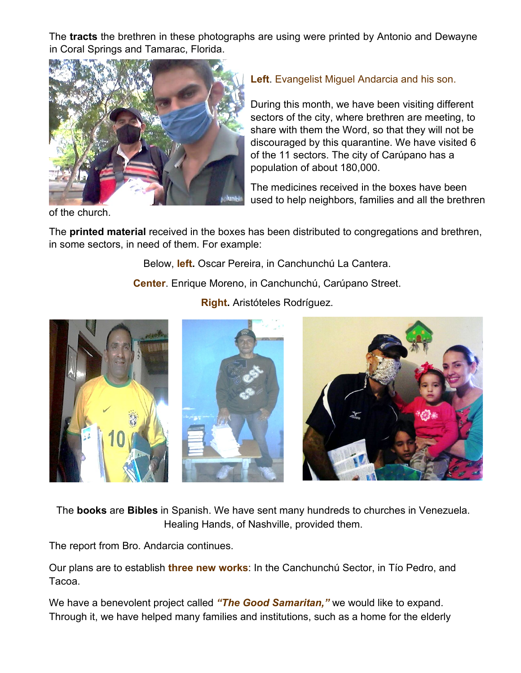The **tracts** the brethren in these photographs are using were printed by Antonio and Dewayne in Coral Springs and Tamarac, Florida.



**Left**. Evangelist Miguel Andarcia and his son.

During this month, we have been visiting different sectors of the city, where brethren are meeting, to share with them the Word, so that they will not be discouraged by this quarantine. We have visited 6 of the 11 sectors. The city of Carúpano has a population of about 180,000.

The medicines received in the boxes have been used to help neighbors, families and all the brethren

of the church.

The **printed material** received in the boxes has been distributed to congregations and brethren, in some sectors, in need of them. For example:

Below, **left.** Oscar Pereira, in Canchunchú La Cantera.

**Center**. Enrique Moreno, in Canchunchú, Carúpano Street.



**Right.** Aristóteles Rodríguez.

The **books** are **Bibles** in Spanish. We have sent many hundreds to churches in Venezuela. Healing Hands, of Nashville, provided them.

The report from Bro. Andarcia continues.

Our plans are to establish **three new works**: In the Canchunchú Sector, in Tío Pedro, and Tacoa.

We have a benevolent project called *"The Good Samaritan,"* we would like to expand. Through it, we have helped many families and institutions, such as a home for the elderly